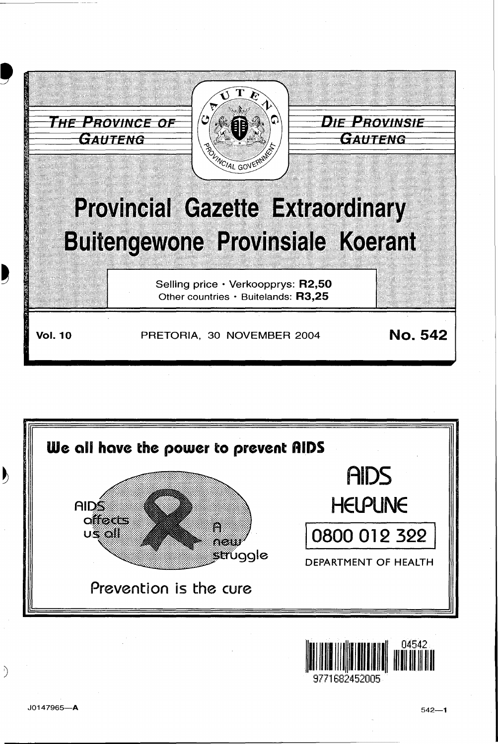





I)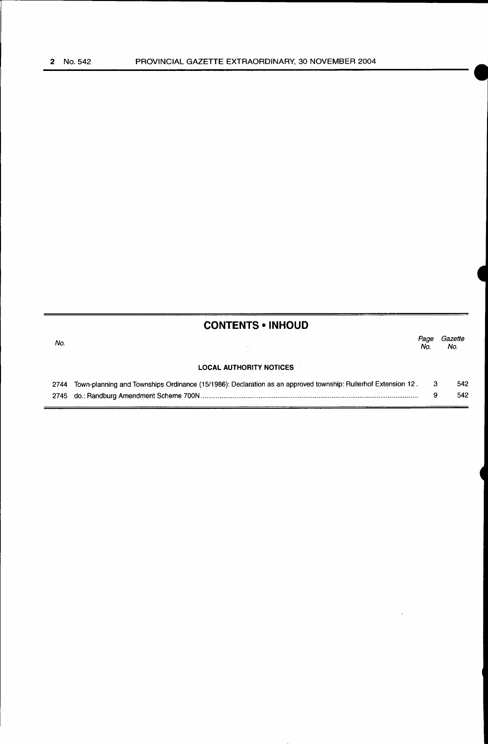$\blacksquare$ 

|      | <b>CONTENTS • INHOUD</b>                                                                                      |             |                |
|------|---------------------------------------------------------------------------------------------------------------|-------------|----------------|
| No.  |                                                                                                               | Page<br>No. | Gazette<br>No. |
|      | <b>LOCAL AUTHORITY NOTICES</b>                                                                                |             |                |
| 2744 | Town-planning and Townships Ordinance (15/1986): Declaration as an approved township: Ruiterhof Extension 12. | -3          | 542            |
|      |                                                                                                               | 9           | 542            |

 $\bar{z}$ 

 $\bar{z}$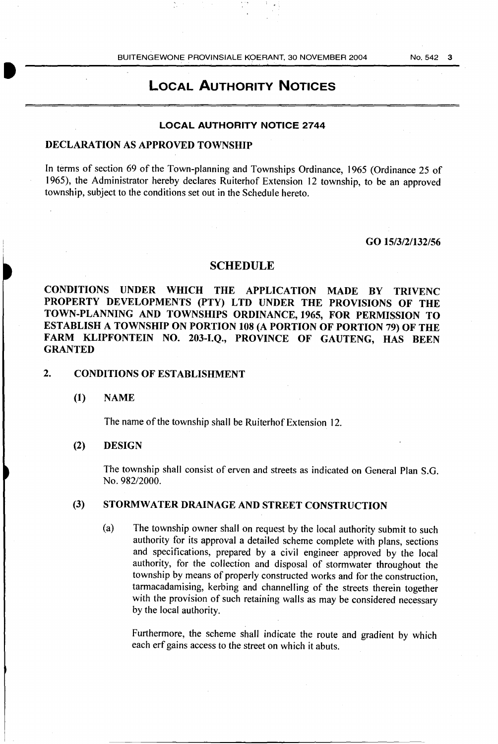#### LOCAL AUTHORITY NOTICES

#### LOCAL AUTHORITY NOTICE 2744

#### DECLARATION AS APPROVED TOWNSHIP

In terms of section 69 of the Town-planning and Townships Ordinance, 1965 (Ordinance 25 of 1965), the Administrator hereby declares Ruiterhof Extension 12 township, to be an approved township, subject to the conditions set out in the Schedule hereto.

#### GO 15/3/2/132/56

#### **SCHEDULE**

CONDITIONS UNDER WHICH THE APPLICATION MADE BY TRIVENC PROPERTY DEVELOPMENTS (PTY) LTD UNDER THE PROVISIONS OF THE TOWN-PLANNING AND TOWNSHIPS ORDINANCE, 1965, FOR PERMISSION TO ESTABLISH A TOWNSHIP ON PORTION 108 (A PORTION OF PORTION 79) OF THE FARM KLIPFONTEIN NO. 203-I.Q., PROVINCE OF GAUTENG, HAS BEEN GRANTED

#### 2. CONDITIONS OF ESTABLISHMENT

#### (1) NAME

The name of the township shall be Ruiterhof Extension 12.

#### (2) DESIGN

The township shall consist of erven and streets as indicated on General Plan S.G. No. 982/2000.

#### (3) STORMWATER DRAINAGE AND STREET CONSTRUCTION

(a) The township owner shall on request by the local authority submit to such authority for its approval a detailed scheme complete with plans, sections and specifications, prepared by a civil engineer approved by the local authority, for the collection and disposal of stormwater throughout the township by means of properly constructed works and for the construction, tarmacadamising, kerbing and channelling of the streets therein together with the provision of such retaining walls as may be considered necessary by the local authority.

Furthermore, the scheme shall indicate the route and gradient by which each erf gains access to the street on which it abuts.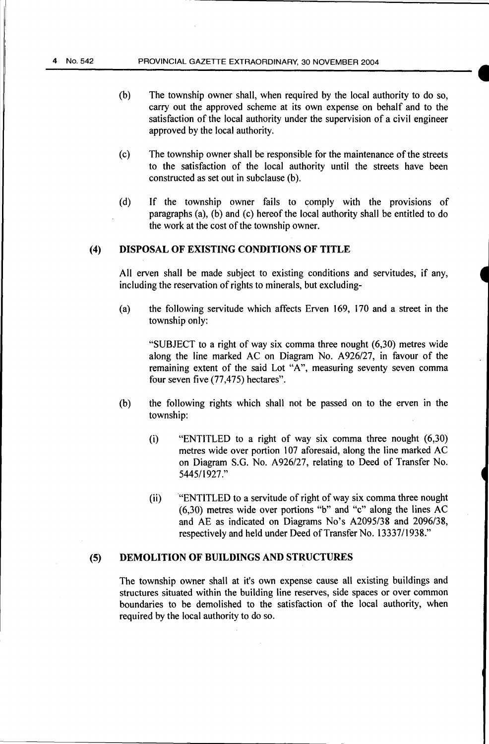- (b) The township owner shall, when required by the local authority to do so, carry out the approved scheme at its own expense on behalf and to the satisfaction of the local authority under the supervision of a civil engineer approved by the local authority.
- (c) The township owner shall be responsible for the maintenance of the streets to the satisfaction of the local authority until the streets have been constructed as set out in subclause (b).
- (d) If the township owner fails to comply with the provisions of paragraphs (a), (b) and (c) hereof the local authority shall be entitled to do the work at the cost of the township owner.

#### (4) DISPOSAL OF EXISTING CONDITIONS OF TITLE

All erven shall be made subject to existing conditions and servitudes, if any, including the reservation of rights to minerals, but excluding-

(a) the following servitude which affects Erven 169, 170 and a street in the township only:

"SUBJECT to a right of way six comma three nought (6,30) metres wide along the line marked AC on Diagram No. A926/27, in favour of the remaining extent of the said Lot "A", measuring seventy seven comma four seven five  $(77, 475)$  hectares".

- (b) the following rights which shall not be passed on to the erven in the township:
	- (i) "ENTITLED to a right of way six comma three nought (6,30) metres wide over portion 107 aforesaid, along the line marked AC on Diagram S.G. No. A926/27, relating to Deed of Transfer No. 5445/1927 ."
	- (ii) "ENTITLED to a servitude of right of way six comma three nought (6,30) metres wide over portions "b" and "c" along the lines AC and AE as indicated on Diagrams No's A2095/38 and 2096/38, respectively and held under Deed of Transfer No. 13337/1938."

#### (5) DEMOLITION OF BUILDINGS AND STRUCTURES

The township owner shall at it's own expense cause all existing buildings and structures situated within the building line reserves, side spaces or over common boundaries to be demolished to the satisfaction of the local authority, when required by the local authority to do so.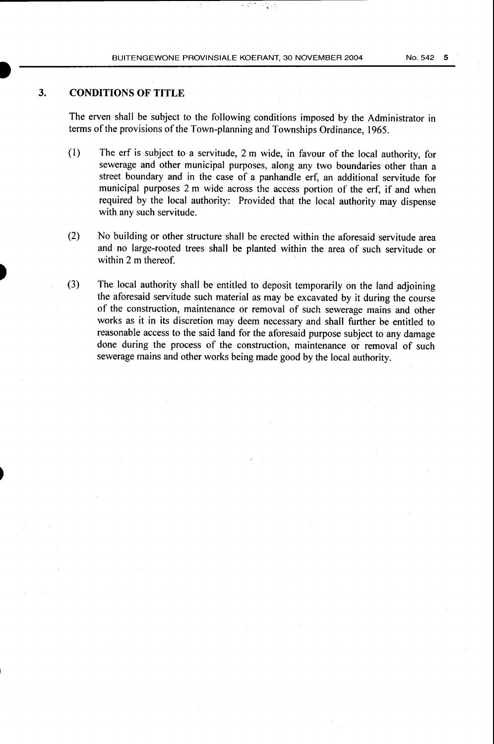#### **3. CONDITIONS OF TITLE**

The erven shall be subject to the following conditions imposed by the Administrator in terms of the provisions of the Town-planning and Townships Ordinance, 1965.

- (I) The erf is subject to a servitude, 2 m wide, in favour of the local authority, for sewerage and other municipal purposes, along any two boundaries other than a street boundary and in the case of a panhandle erf, an additional servitude for municipal purposes 2 m wide across the access portion of the erf, if and when required by the local authority: Provided that the local authority may dispense with any such servitude.
- (2) No building or other structure shall be erected within the aforesaid servitude area and no large-rooted trees shall be planted within the area of such servitude or within 2 m thereof.
- (3) The local authority shall be entitled to deposit temporarily on the land adjoining the aforesaid servitude such material as may be excavated by it during the course of the construction, maintenance or removal of such sewerage mains and other works as it in its discretion may deem necessary and shall further be entitled to reasonable access to the said land for the aforesaid purpose subject to any damage done during the process of the construction, maintenance or removal of such sewerage mains and other works being made good by the local authority.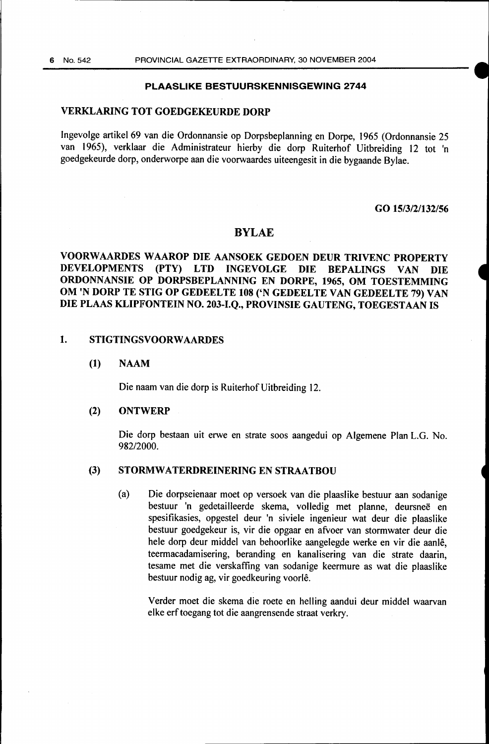#### PLAASLIKE BESTUURSKENNISGEWING 2744

#### VERKLARING TOT GOEDGEKEURDE DORP

Ingevolge artikel 69 van die Ordonnansie op Dorpsbeplanning en Dorpe, 1965 (Ordonnansie 25 van 1965), verklaar die Administrateur hierby die dorp Ruiterhof Uitbreiding 12 tot 'n goedgekeurde dorp, onderworpe aan die voorwaardes uiteengesit in die bygaande Bylae.

#### GO 15/3/2/132/56

#### BYLAE

#### VOORWAARDES W AAROP DIE AANSOEK GEDOEN DEUR TRIVENC PROPERTY DEVELOPMENTS (PTY) LTD INGEVOLGE DIE BEPALINGS VAN DIE ORDONNANSIE OP DORPSBEPLANNING EN DORPE, 1965, OM TOESTEMMING OM 'N DORP TE STIG OP GEDEELTE 108 ('N GEDEELTE VAN GEDEELTE 79) VAN DIE PLAAS KLIPFONTEIN NO. 203-I.O., PROVINSIE GAUTENG, TOEGESTAAN IS

#### 1. STIGTINGSVOORWAARDES

#### (1) NAAM

Die naam van die dorp is Ruiterhof Uitbreiding 12.

#### (2) ONTWERP

Die dorp bestaan uit erwe en strate soos aangedui op Algemene Plan L.G. No. 982/2000.

#### (3) STORMWATERDREINERING EN STRAATBOU

(a) Die dorpseienaar moet op versoek van die plaaslike bestuur aan sodanige bestuur 'n gedetailleerde skema, volledig met planne, deursnee en spesifikasies, opgestel deur 'n siviele ingenieur wat deur die plaaslike bestuur goedgekeur is, vir die opgaar en afvoer van stormwater deur die hele dorp deur middel van behoorlike aangelegde werke en vir die aanle, teermacadamisering, beranding en kanalisering van die strate daarin, tesame met die verskaffing van sodanige keermure as wat die plaaslike bestuur nodig ag, vir goedkeuring voorle.

Verder moet die skema die roete en helling aandui deur middel waarvan elke erftoegang tot die aangrensende straat verkry.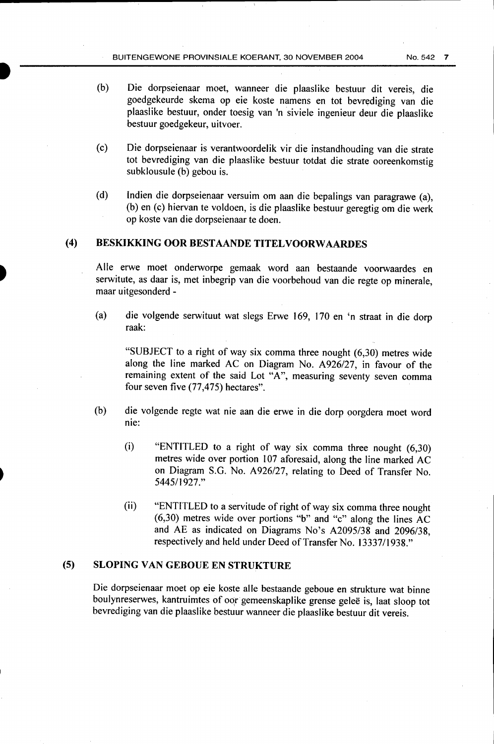- (b) Die dorpseienaar moet, wanneer die plaaslike bestuur dit vereis, die goedgekeurde skema op eie koste namens en tot bevrediging van die plaaslike bestuur, onder toesig van 'n siviele ingenieur deur die plaaslike bestuur goedgekeur, uitvoer.
- (c) Die dorpseienaar is verantwoordelik vir die instandhouding van die strate tot bevrediging van die plaaslike bestuur totdat die strate ooreenkomstig subklousule (b) gebou is.
- (d) lndien die dorpseienaar versuim om aan die bepalings van paragrawe (a), (b) en (c) hiervan te voldoen, is die plaaslike bestuur geregtig om die werk op koste van die dorpseienaar te doen.

#### (4) BESKIKKING OOR BESTAANDE TITELVOORWAARDES

Aile erwe moet onderworpe gemaak word aan bestaande voorwaardes en serwitute, as daar is, met inbegrip van die voorbehoud van die regte op minerale, maar uitgesonderd -

(a) die volgende serwituut wat slegs Erwe 169, 170 en 'n straat in die dorp raak:

"SUBJECT to a right of way six comma three nought (6,30) metres wide along the line marked AC on Diagram No. A926/27, in favour of the remaining extent of the said Lot "A", measuring seventy seven comma four seven five (77,475) hectares".

- (b) die volgende regte wat nie aan die erwe in die dorp oorgdera moet word nie:
	- (i) "ENTITLED to a right of way six comma three nought (6,30) metres wide over portion 107 aforesaid, along the line marked AC on Diagram S.G. No. A926/27, relating to Deed of Transfer No. 544511927."
	- (ii) "ENTITLED to a servitude of right of way six comma three nought (6,30) metres wide over portions "b" and "c" along the lines AC and AE as indicated on Diagrams No's A2095/38 and 2096/38, respectively and held under Deed of Transfer No. 13337/1938."

#### (5) SLOPING VAN GEBOUE EN STRUKTURE

Die dorpseienaar moet op eie koste aile bestaande geboue en strukture wat binne boulynreserwes, kantruimtes of oor gemeenskaplike grense gelee is, Jaat sloop tot bevrediging van die plaaslike bestuur wanneer die plaaslike bestuur dit vereis.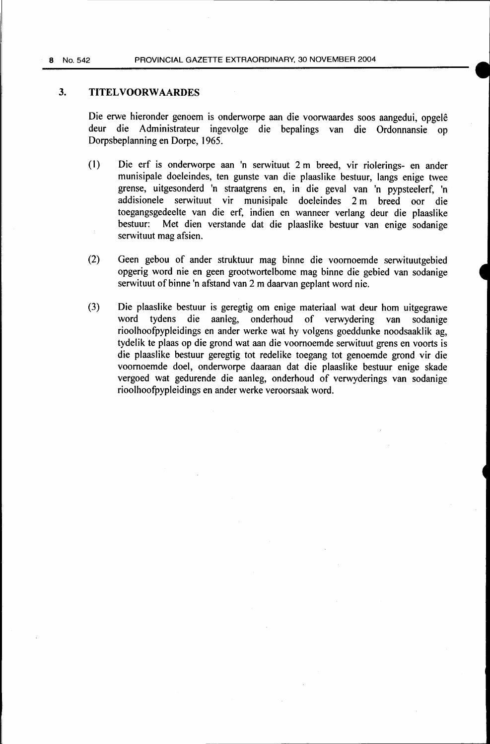#### 3. TITELVOORWAARDES

Die erwe hieronder genoem is onderworpe aan die voorwaardes soos aangedui, opgele deur die Administrateur ingevolge die bepalings van die Ordonnansie op Dorpsbeplanning en Dorpe, 1965.

- (1) Die erf is onderworpe aan 'n serwituut 2m breed, vir riolerings- en ander munisipale doeleindes, ten gunste van die plaaslike bestuur, langs enige twee grense, uitgesonderd 'n straatgrens en, in die geval van 'n pypsteelerf, 'n addisionele serwituut vir munisipale doeleindes 2 m breed oor die toegangsgedeelte van die erf, indien en wanneer verlang deur die plaaslike bestuur: Met dien verstande dat die plaaslike bestuur van enige sodanige Met dien verstande dat die plaaslike bestuur van enige sodanige serwituut mag afsien.
- (2) Geen gebou of ander struktuur mag binne die voornoemde serwituutgebied opgerig word nie en geen grootwortelbome mag binne die gebied van sodanige serwituut of binne 'n afstand van 2 m daarvan geplant word nie.
- (3) Die plaaslike bestuur is geregtig om enige materiaal wat deur hom uitgegrawe word tydens die aanleg, onderhoud of verwydering van sodanige rioolhoofpypleidings en ander werke wat hy volgens goeddunke noodsaaklik ag, tydelik te plaas op die grond wat aan die voornoemde serwituut grens en voorts is die plaaslike bestuur geregtig tot redelike toegang tot genoemde grond vir die voornoemde doel, onderworpe daaraan dat die plaaslike bestuur enige skade vergoed wat gedurende die aanleg, onderhoud of verwyderings van sodanige rioolhoofpypleidings en ander werke veroorsaak word.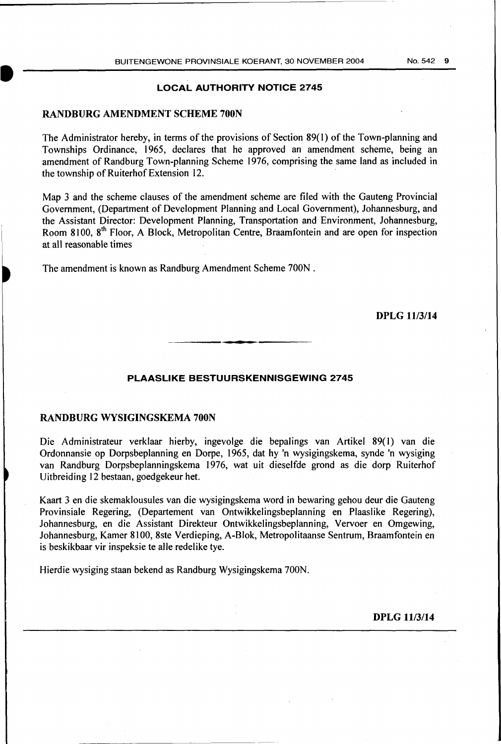#### LOCAL AUTHORITY NOTICE 2745

#### RANDBURG AMENDMENT SCHEME 700N

I

The Administrator hereby, in terms of the provisions of Section 89(1) of the Town-planning and Townships Ordinance, 1965, declares that he approved an amendment scheme, being an amendment of Randburg Town-planning Scheme 1976, comprising the same land as included in the township of Ruiterhof Extension 12.

Map 3 and the scheme clauses of the amendment scheme are filed with the Gauteng Provincial Government, (Department of Development Planning and Local Government), Johannesburg, and the Assistant Director: Development Planning, Transportation and Environment, Johannesburg, Room 8100, 8<sup>th</sup> Floor, A Block, Metropolitan Centre, Braamfontein and are open for inspection at all reasonable times

The amendment is known as Randburg Amendment Scheme 700N .

#### DPLG 11/3/14

#### PLAASLIKE BESTUURSKENNISGEWING 2745

#### RANDBURG WYSIGINGSKEMA 700N

Die Administrateur verklaar hierby, ingevolge die bepalings van Artikel 89(1) van die Ordonnansie op Dorpsbeplanning en Dorpe, 1965, dat hy 'n wysigingskema, synde 'n wysiging van Randburg Dorpsbeplanningskema 1976, wat uit dieselfde grond as die dorp Ruiterhof Uitbreiding 12 bestaan, goedgekeur het.

Kaart 3 en die skemaklousules van die wysigingskema word in bewaring gehou deur die Gauteng Provinsiale Regering, (Departement van Ontwikkelingsbeplanning en Plaaslike Regering), Johannesburg, en die Assistant Direkteur Ontwikkelingsbeplanning, Vervoer en Omgewing, Johannesburg, Kamer 8100, 8ste Verdieping, A-Blok, Metropolitaanse Sentrum, Braamfontein en is beskikbaar vir inspeksie te aile redelike tye.

Hierdie wysiging staan bekend as Randburg Wysigingskema 700N.

DPLG 11/3/14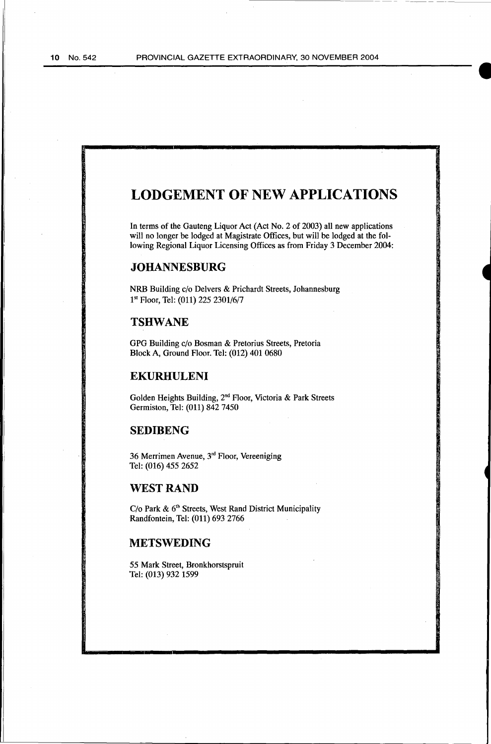I

### **LODGEMENT OF NEW APPLICATIONS**

In terms of the Gauteng Liquor Act (Act No. 2 of 2003) all new applications will no longer be lodged at Magistrate Offices, but will be lodged at the following Regional Liquor Licensing Offices as from Friday 3 December 2004:

#### **JOHANNESBURG**

NRB Building c/o Delvers & Prichardt Streets, Johannesburg 1<sup>st</sup> Floor, Tel: (011) 225 2301/6/7

#### **TSHWANE**

GPG Building c/o Bosman & Pretorius Streets, Pretoria Block A, Ground Floor. Tel: (012) 401 0680

#### **EKURHULENI**

Golden Heights Building, 2"d Floor, Victoria & Park Streets Germiston, Tel: (011) 842 7450

#### **SEDIBENG**

36 Merrimen Avenue, 3'd Floor, Vereeniging Tel: (016) 455 2652

#### **WEST RAND**

C/o Park & 6<sup>th</sup> Streets, West Rand District Municipality Randfontein, Tel: (011) 693 2766

#### **METSWEDING**

*55* Mark Street, Bronkhorstspruit Tel: (013) 932 1599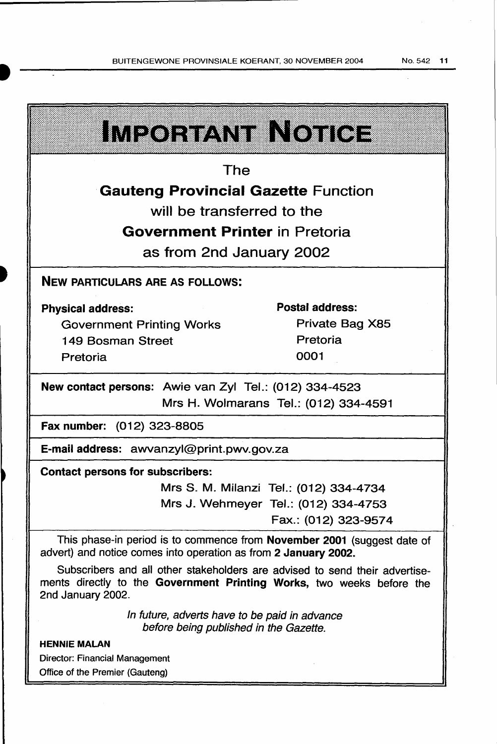.. : : .. **IMPORTANT IN NOTICE** The **Gauteng Provincial Gazette Function** will be transferred to the Government Printer in Pretoria as from 2nd January 2002 NEW PARTICULARS ARE AS FOLLOWS: Postal address: Physical address: Private Bag X85 Government Printing Works Pretoria 149 Bosman Street 0001 Pretoria New contact persons: Awie van Zyl Tel.: {012) 334-4523 Mrs H. Wolmarans Tel.: (012) 334-4591 Fax number: (012) 323-8805 E-mail address: awvanzyl@print.pwv.gov.za Contact persons for subscribers: Mrs S. M. Milanzi Tel.: (012) 334-4734 Mrs J. Wehmeyer Tel.: (012) 334-4753 Fax.: (012) 323-9574 This phase-in period is to commence from November 2001 (suggest date of

advert) and notice comes into operation as from 2 January 2002.

Subscribers and all other stakeholders are advised to send their advertisements directly to the Government Printing Works, two weeks before the 2nd January 2002.

> In future, adverts have to be paid in advance before being published in the Gazette.

#### HENNIE MALAN

Director: Financial Management Office of the Premier (Gauteng)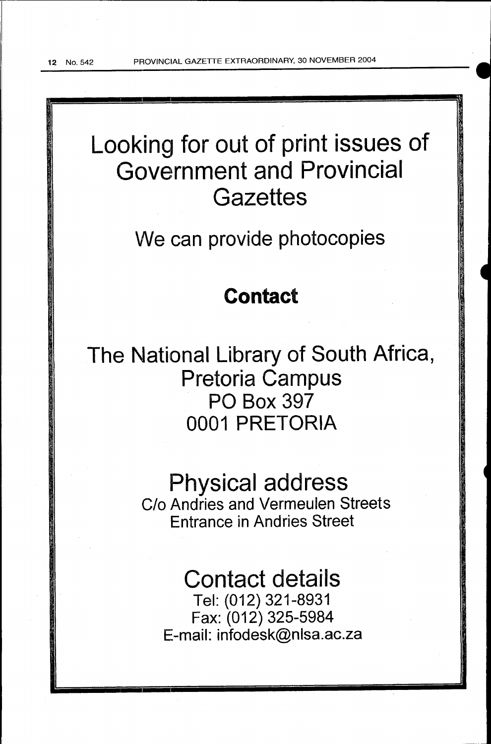12 No. 542 PROVINCIAL GAZETTE EXTRAORDINARY, 30 NOVEMBER 2004

# Looking for out of print issues of Government and Provincial **Gazettes**

We can provide photocopies

### Contact

The National Library of South Africa, Pretoria Campus PO Box 397 0001 PRETORIA

> Physical address C/o Andries and Vermeulen Streets Entrance in Andries Street

## Contact details

Tel: (012) 321-8931 Fax: (012) 325-5984 E-mail: infodesk@nlsa.ac.za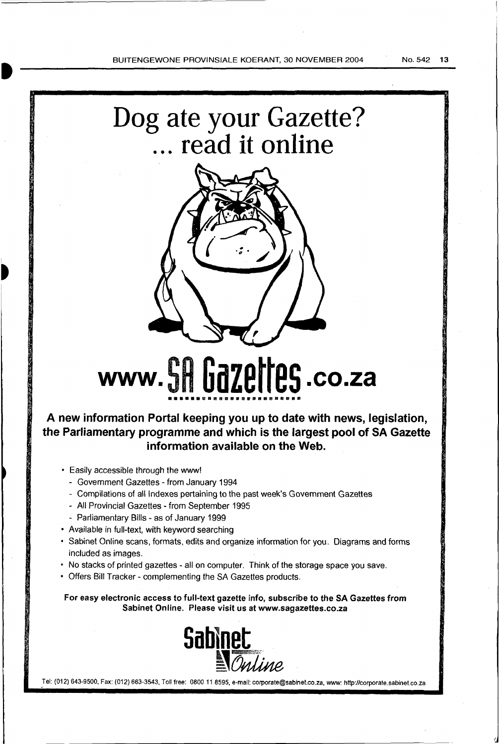# Dog ate your Gazette? ... **read it online**



# www.SR **Gazettes .co.za ••••••maaaa•••••••••••••**

#### **A new information Portal keeping you up to date with news, legislation, the Parliamentary programme and which is the largest pool of SA Gazette information available on the Web.**

- Easily accessible through the www!
	- Government Gazettes from January 1994
	- Compilations of all Indexes pertaining to the past week's Government Gazettes
	- All Provincial Gazettes- from September 1995
	- Parliamentary Bills as of January 1999
- Available in full-text, with keyword searching
- Sabinet Online scans, formats, edits and organize information for you. Diagrams and forms included as images.
- No stacks of printed gazettes- all on computer. Think of the storage space you save.
- Offers Bill Tracker- complementing the SA Gazettes products.

For easy electronic access to full-text gazette info, subscribe to the SA Gazettes from Sabinet Online. Please visit us at www.sagazettes.co.za



Tel: (012) 643-9500, Fax: (012) 663-3543, Toll free: 0800 11 8595, e-mail: corporate@sabinet.co.za, www: http://corporate.sabinet.co.za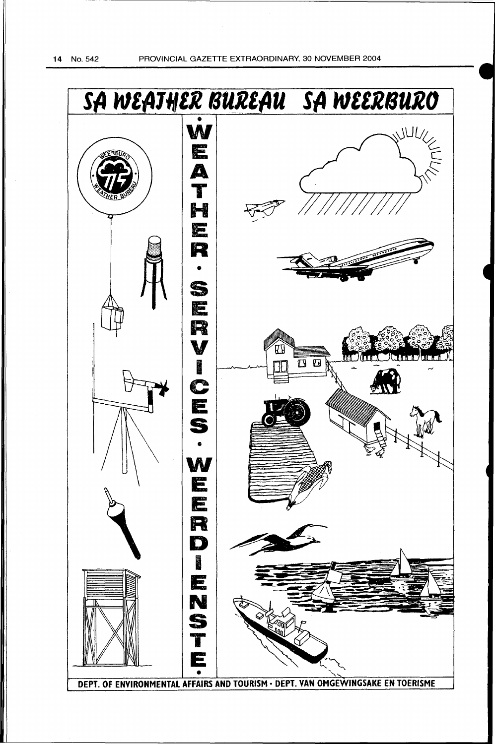14 No. 542 PROVINCIAL GAZETTE EXTRAORDINARY, 30 NOVEMBER 2004

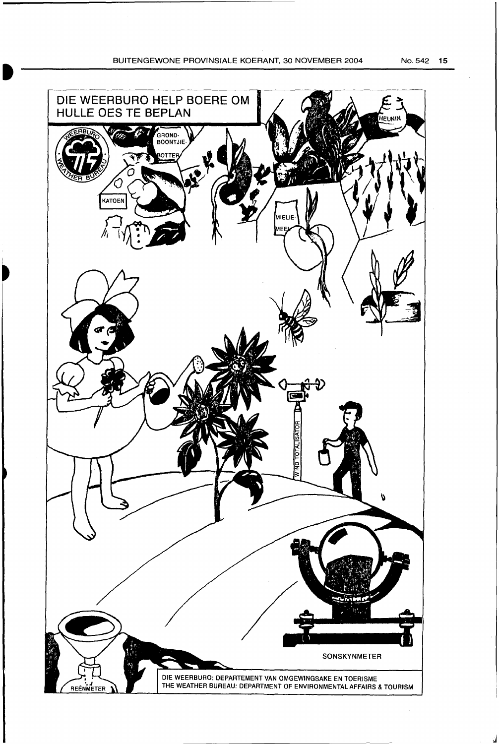j